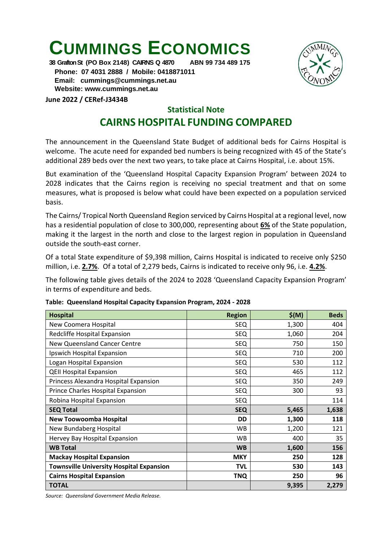## **CUMMINGS ECONOMICS**

**38 Grafton St (PO Box 2148) CAIRNS Q 4870 ABN 99 734 489 175**

 **Phone: 07 4031 2888 / Mobile: 0418871011 Email: [cummings@cummings.net.au](mailto:cummings@cummings.net.au) Website: www.cummings.net.au**

**June 2022 / CERef-J3434B**

## **Statistical Note**

## **CAIRNS HOSPITAL FUNDING COMPARED**

The announcement in the Queensland State Budget of additional beds for Cairns Hospital is welcome. The acute need for expanded bed numbers is being recognized with 45 of the State's additional 289 beds over the next two years, to take place at Cairns Hospital, i.e. about 15%.

But examination of the 'Queensland Hospital Capacity Expansion Program' between 2024 to 2028 indicates that the Cairns region is receiving no special treatment and that on some measures, what is proposed is below what could have been expected on a population serviced basis.

The Cairns/ Tropical North Queensland Region serviced by Cairns Hospital at a regional level, now has a residential population of close to 300,000, representing about **6%** of the State population, making it the largest in the north and close to the largest region in population in Queensland outside the south-east corner.

Of a total State expenditure of \$9,398 million, Cairns Hospital is indicated to receive only \$250 million, i.e. **2.7%**. Of a total of 2,279 beds, Cairns is indicated to receive only 96, i.e. **4.2%**.

The following table gives details of the 2024 to 2028 'Queensland Capacity Expansion Program' in terms of expenditure and beds.

| <b>Hospital</b>                                 | <b>Region</b> | \$(M) | <b>Beds</b> |
|-------------------------------------------------|---------------|-------|-------------|
| New Coomera Hospital                            | <b>SEQ</b>    | 1,300 | 404         |
| Redcliffe Hospital Expansion                    | <b>SEQ</b>    | 1,060 | 204         |
| New Queensland Cancer Centre                    | <b>SEQ</b>    | 750   | 150         |
| Ipswich Hospital Expansion                      | SEQ           | 710   | 200         |
| Logan Hospital Expansion                        | <b>SEQ</b>    | 530   | 112         |
| <b>QEII Hospital Expansion</b>                  | <b>SEQ</b>    | 465   | 112         |
| Princess Alexandra Hospital Expansion           | <b>SEQ</b>    | 350   | 249         |
| Prince Charles Hospital Expansion               | <b>SEQ</b>    | 300   | 93          |
| Robina Hospital Expansion                       | <b>SEQ</b>    |       | 114         |
| <b>SEQ Total</b>                                | <b>SEQ</b>    | 5,465 | 1,638       |
| <b>New Toowoomba Hospital</b>                   | <b>DD</b>     | 1,300 | 118         |
| New Bundaberg Hospital                          | <b>WB</b>     | 1,200 | 121         |
| Hervey Bay Hospital Expansion                   | <b>WB</b>     | 400   | 35          |
| <b>WB Total</b>                                 | <b>WB</b>     | 1,600 | 156         |
| <b>Mackay Hospital Expansion</b>                | <b>MKY</b>    | 250   | 128         |
| <b>Townsville University Hospital Expansion</b> | <b>TVL</b>    | 530   | 143         |
| <b>Cairns Hospital Expansion</b>                | TNQ           | 250   | 96          |
| <b>TOTAL</b>                                    |               | 9,395 | 2,279       |

**Table: Queensland Hospital Capacity Expansion Program, 2024 - 2028** 

*Source: Queensland Government Media Release.*